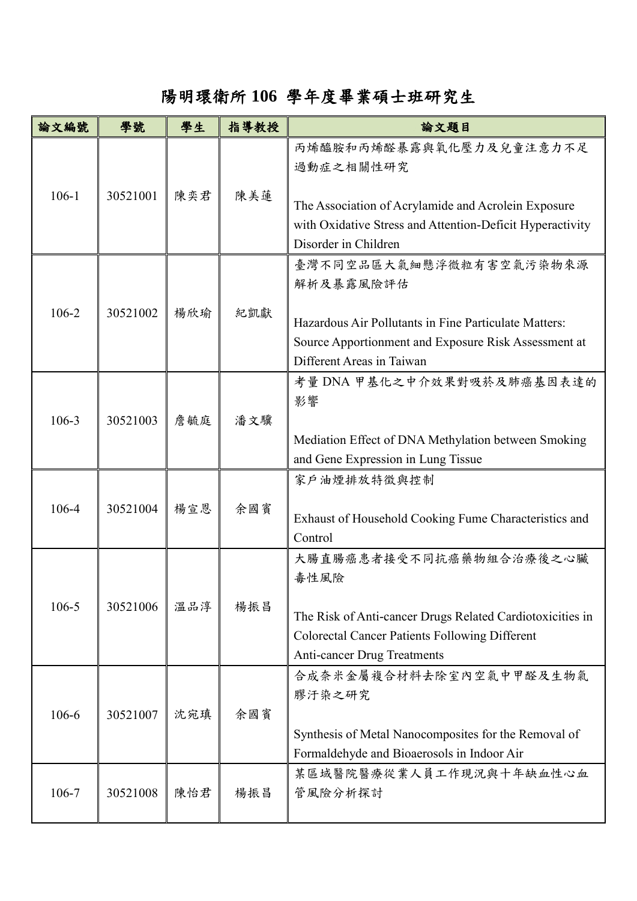## 陽明環衛所 **106** 學年度畢業碩士班研究生

| 論文編號      | 學號       | 學生  | 指導教授 | 論文題目                                                                                                                                                                                        |
|-----------|----------|-----|------|---------------------------------------------------------------------------------------------------------------------------------------------------------------------------------------------|
| $106-1$   | 30521001 | 陳奕君 | 陳美蓮  | 丙烯醯胺和丙烯醛暴露與氧化壓力及兒童注意力不足<br>過動症之相關性研究<br>The Association of Acrylamide and Acrolein Exposure<br>with Oxidative Stress and Attention-Deficit Hyperactivity<br>Disorder in Children            |
| 106-2     | 30521002 | 楊欣瑜 | 紀凱獻  | 臺灣不同空品區大氣細懸浮微粒有害空氣污染物來源<br>解析及暴露風險評估<br>Hazardous Air Pollutants in Fine Particulate Matters:<br>Source Apportionment and Exposure Risk Assessment at<br>Different Areas in Taiwan          |
| $106 - 3$ | 30521003 | 詹毓庭 | 潘文驥  | 考量 DNA 甲基化之中介效果對吸菸及肺癌基因表達的<br>影響<br>Mediation Effect of DNA Methylation between Smoking<br>and Gene Expression in Lung Tissue                                                               |
| 106-4     | 30521004 | 楊宣恩 | 余國賓  | 家戶油煙排放特徵與控制<br>Exhaust of Household Cooking Fume Characteristics and<br>Control                                                                                                             |
| $106 - 5$ | 30521006 | 溫品淳 | 楊振昌  | 大腸直腸癌患者接受不同抗癌藥物組合治療後之心臟<br>毒性風險<br>The Risk of Anti-cancer Drugs Related Cardiotoxicities in<br><b>Colorectal Cancer Patients Following Different</b><br><b>Anti-cancer Drug Treatments</b> |
| 106-6     | 30521007 | 沈宛瑱 | 余國賓  | 合成奈米金屬複合材料去除室內空氣中甲醛及生物氣<br>膠汗染之研究<br>Synthesis of Metal Nanocomposites for the Removal of<br>Formaldehyde and Bioaerosols in Indoor Air                                                     |
| 106-7     | 30521008 | 陳怡君 | 楊振昌  | 某區域醫院醫療從業人員工作現況與十年缺血性心血<br>管風險分析探討                                                                                                                                                          |